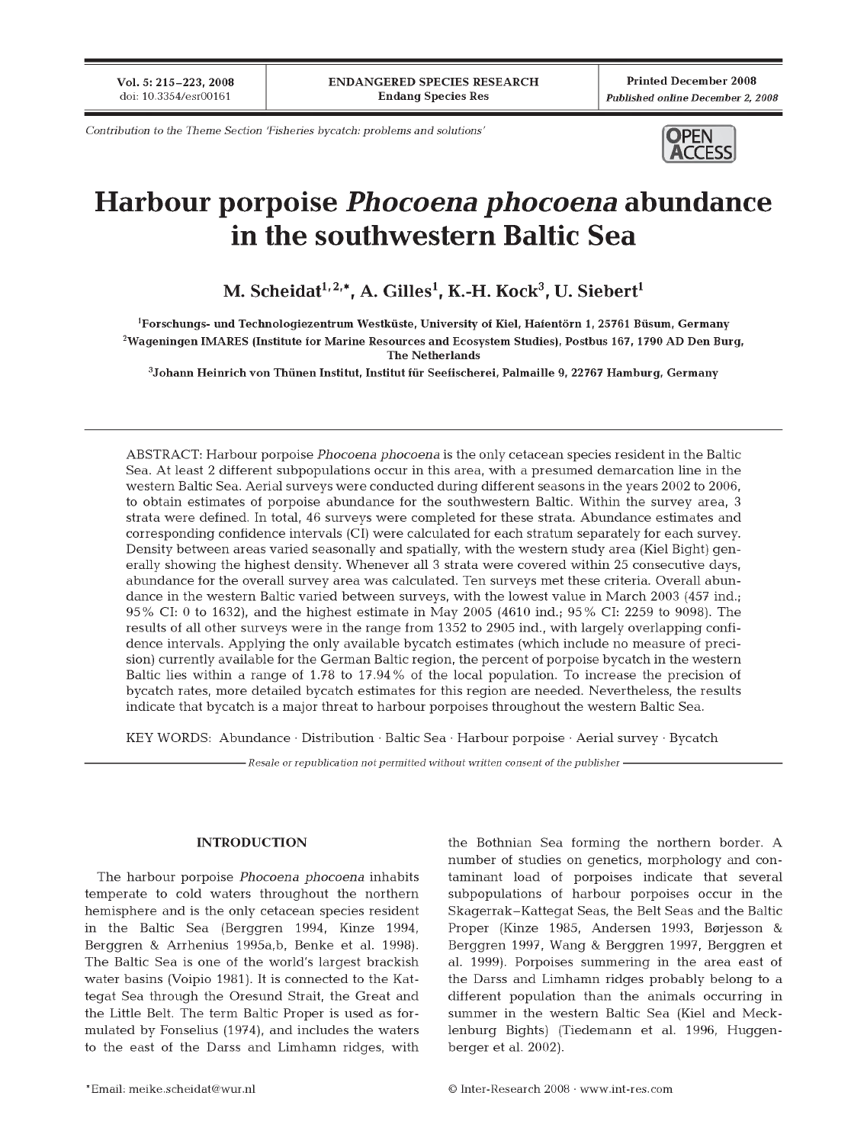Vol. 5: 215-223, 2008 doi: 10.3354/esr00161

**Printed December 2008** Published online December 2, 2008

Contribution to the Theme Section 'Fisheries bycatch: problems and solutions'



# Harbour porpoise *Phocoena phocoena* abundance in the southwestern Baltic Sea

M. Scheidat<sup>1, 2,\*</sup>, A. Gilles<sup>1</sup>, K.-H. Kock<sup>3</sup>, U. Siebert<sup>1</sup>

<sup>1</sup>Forschungs- und Technologiezentrum Westküste, University of Kiel, Hafentörn 1, 25761 Büsum, Germany <sup>2</sup>Wageningen IMARES (Institute for Marine Resources and Ecosystem Studies), Postbus 167, 1790 AD Den Burg, **The Netherlands** 

<sup>3</sup>Johann Heinrich von Thünen Institut, Institut für Seefischerei, Palmaille 9, 22767 Hamburg, Germany

ABSTRACT: Harbour porpoise *Phocoena phocoena* is the only cetacean species resident in the Baltic Sea. At least 2 different subpopulations occur in this area, with a presumed demarcation line in the western Baltic Sea. Aerial surveys were conducted during different seasons in the years 2002 to 2006, to obtain estimates of porpoise abundance for the southwestern Baltic. Within the survey area, 3 strata were defined. In total, 46 surveys were completed for these strata. Abundance estimates and corresponding confidence intervals (CI) were calculated for each stratum separately for each survey. Density between areas varied seasonally and spatially, with the western study area (Kiel Bight) generally showing the highest density. Whenever all 3 strata were covered within 25 consecutive days, abundance for the overall survey area was calculated. Ten surveys met these criteria. Overall abundance in the western Baltic varied between surveys, with the lowest value in March 2003 (457 ind.; 95% CI: 0 to 1632), and the highest estimate in May 2005 (4610 ind.; 95% CI: 2259 to 9098). The results of all other surveys were in the range from 1352 to 2905 ind., with largely overlapping confidence intervals. Applying the only available by catch estimates (which include no measure of precision) currently available for the German Baltic region, the percent of porpoise bycatch in the western Baltic lies within a range of 1.78 to 17.94% of the local population. To increase the precision of bycatch rates, more detailed bycatch estimates for this region are needed. Nevertheless, the results indicate that bycatch is a major threat to harbour porpoises throughout the western Baltic Sea.

KEY WORDS: Abundance · Distribution · Baltic Sea · Harbour porpoise · Aerial survey · Bycatch

- Resale or republication not permitted without written consent of the publisher -

#### **INTRODUCTION**

The harbour porpoise Phocoena phocoena inhabits temperate to cold waters throughout the northern hemisphere and is the only cetacean species resident in the Baltic Sea (Berggren 1994, Kinze 1994, Berggren & Arrhenius 1995a, b, Benke et al. 1998). The Baltic Sea is one of the world's largest brackish water basins (Voipio 1981). It is connected to the Kattegat Sea through the Oresund Strait, the Great and the Little Belt. The term Baltic Proper is used as formulated by Fonselius (1974), and includes the waters to the east of the Darss and Limhamn ridges, with the Bothnian Sea forming the northern border. A number of studies on genetics, morphology and contaminant load of porpoises indicate that several subpopulations of harbour porpoises occur in the Skagerrak–Kattegat Seas, the Belt Seas and the Baltic Proper (Kinze 1985, Andersen 1993, Børjesson & Berggren 1997, Wang & Berggren 1997, Berggren et al. 1999). Porpoises summering in the area east of the Darss and Limhamn ridges probably belong to a different population than the animals occurring in summer in the western Baltic Sea (Kiel and Mecklenburg Bights) (Tiedemann et al. 1996, Huggenberger et al. 2002).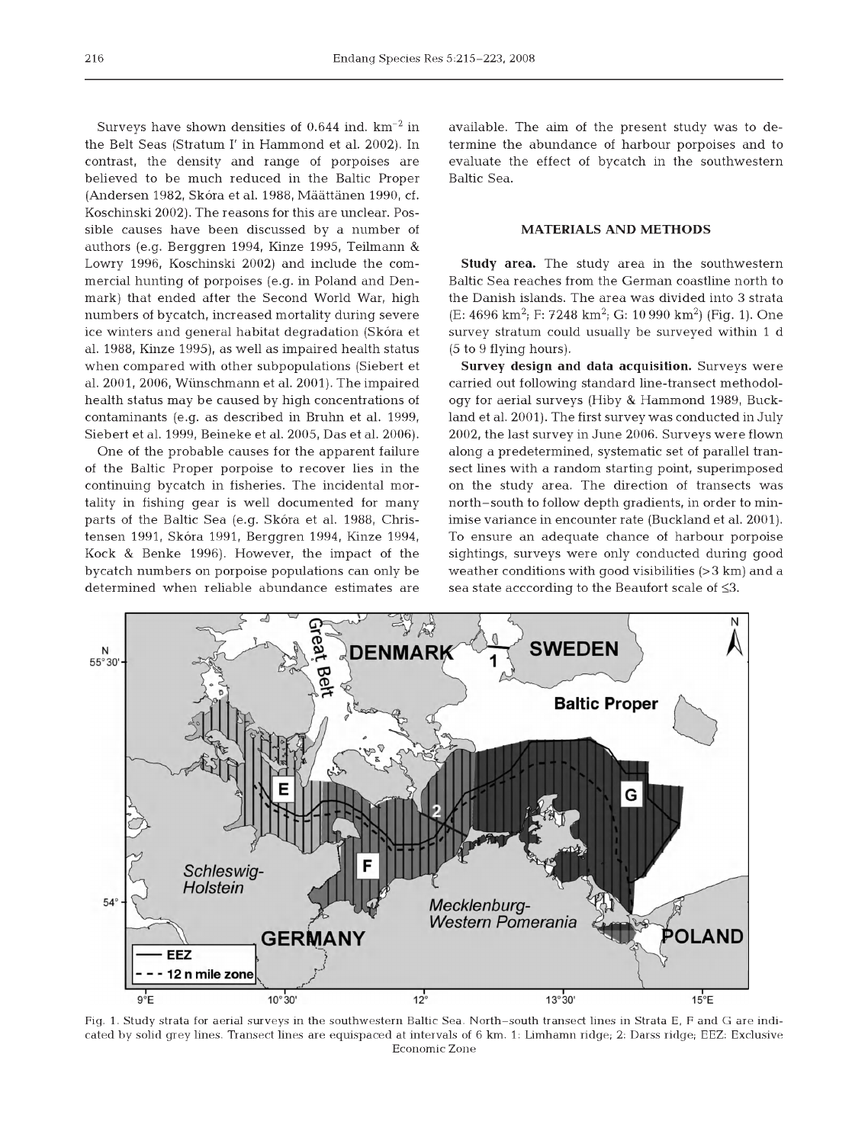Surveys have shown densities of 0.644 ind.  $km^{-2}$  in the Belt Seas (Stratum I' in Hammond et al. 2002). In contrast, the density and range of porpoises are believed to be much reduced in the Baltic Proper (Andersen 1982, Skóra et al. 1988, Määttänen 1990, cf. Koschinski 2002). The reasons for this are unclear. Possible causes have been discussed by a number of authors (e.g. Berggren 1994, Kinze 1995, Teilmann & Lowry 1996, Koschinski 2002) and include the commercial hunting of porpoises (e.g. in Poland and Denmark) that ended after the Second World War, high num bers of bycatch, increased mortality during severe ice winters and general habitat degradation (Skóra et al. 1988, Kinze 1995), as well as im paired health status when compared with other subpopulations (Siebert et al. 2001, 2006, Wünschmann et al. 2001). The impaired health status may be caused by high concentrations of contaminants (e.g. as described in Bruhn et al. 1999, Siebert et al. 1999, Beineke et al. 2005, Das et al. 2006).

One of the probable causes for the apparent failure of the Baltic Proper porpoise to recover lies in the continuing bycatch in fisheries. The incidental mortality in fishing gear is well documented for many parts of the Baltic Sea (e.g. Skóra et al. 1988, Christensen 1991, Skóra 1991, Berggren 1994, Kinze 1994, Kock & Benke 1996). However, the impact of the bycatch num bers on porpoise populations can only be determined when reliable abundance estimates are available. The aim of the present study was to determ ine the abundance of harbour porpoises and to evaluate the effect of bycatch in the southwestern Baltic Sea.

### **MATERIALS AND METHODS**

**Study area.** The study area in the southwestern Baltic Sea reaches from the German coastline north to the Danish islands. The area was divided into 3 strata  $(E: 4696 \text{ km}^2; F: 7248 \text{ km}^2; G: 10990 \text{ km}^2)$  (Fig. 1). One survey stratum could usually be surveyed within 1 d (5 to 9 flying hours).

**Survey design and data acquisition.** Surveys were carried out following standard line-transect methodology for aerial surveys (Hiby & Hammond 1989, Buckland et al. 2001). The first survey was conducted in July 2002, the last survey in June 2006. Surveys were flown along a predetermined, systematic set of parallel transect lines with a random starting point, superimposed on the study area. The direction of transects was north-south to follow depth gradients, in order to minimise variance in encounter rate (Buckland et al. 2001). To ensure an adequate chance of harbour porpoise sightings, surveys were only conducted during good weather conditions with good visibilities  $(>3 \text{ km})$  and a sea state acccording to the Beaufort scale of  $\leq 3$ .



Fig. 1. Study strata for aerial surveys in the southwestern Baltic Sea. North-south transect lines in Strata E, F and G are indicated by solid grey lines. Transect lines are equispaced at intervals of 6 km. 1: Limhamn ridge; 2: Darss ridge; EEZ: Exclusive Economic Zone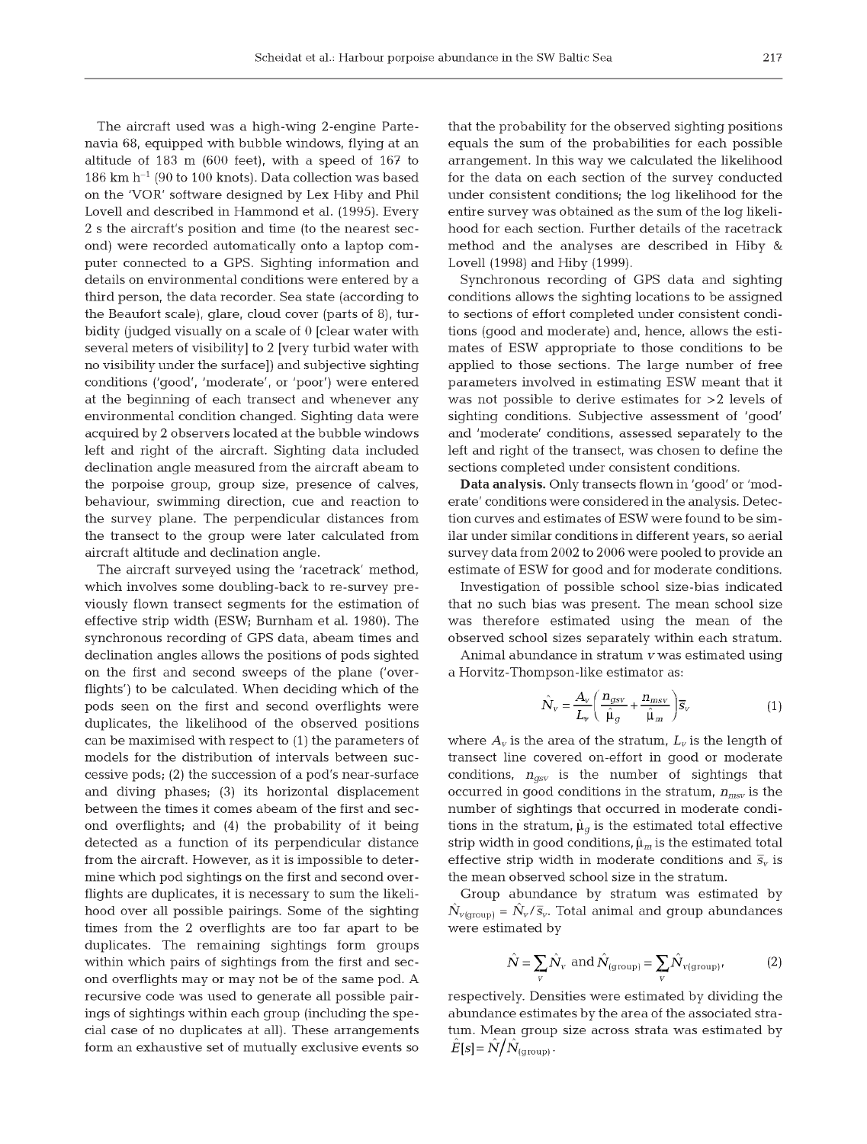The aircraft used was a high-wing 2-engine Partenavia 68, equipped with bubble windows, flying at an altitude of  $183$  m  $(600 \text{ feet})$ , with a speed of  $167$  to 186 km  $h^{-1}$  (90 to 100 knots). Data collection was based on the 'VOR' software designed by Lex Hiby and Phil Lovell and described in Hammond et al. (1995). Every 2 s the aircraft's position and time (to the nearest second) were recorded automatically onto a laptop computer connected to a GPS. Sighting information and details on environmental conditions were entered by a third person, the data recorder. Sea state (according to the Beaufort scale), glare, cloud cover (parts of  $8$ ), turbidity (judged visually on a scale of  $0$  [clear water with several meters of visibility] to 2 [very turbid water with no visibility under the surface]) and subjective sighting conditions ('good', 'moderate', or 'poor') were entered at the beginning of each transect and whenever any environmental condition changed. Sighting data were acquired by 2 observers located at the bubble windows left and right of the aircraft. Sighting data included declination angle measured from the aircraft abeam to the porpoise group, group size, presence of calves, behaviour, swimming direction, cue and reaction to the survey plane. The perpendicular distances from the transect to the group were later calculated from aircraft altitude and declination angle.

The aircraft surveyed using the 'racetrack' method, which involves some doubling-back to re-survey previously flown transect segments for the estimation of effective strip width (ESW; Burnham et al. 1980). The synchronous recording of GPS data, abeam times and declination angles allows the positions of pods sighted on the first and second sweeps of the plane ('overflights') to be calculated. When deciding which of the pods seen on the first and second overflights were duplicates, the likelihood of the observed positions can be maximised with respect to (1) the param eters of models for the distribution of intervals between successive pods; (2) the succession of a pod's near-surface and diving phases; (3) its horizontal displacement between the times it comes abeam of the first and second overflights; and (4) the probability of it being detected as a function of its perpendicular distance from the aircraft. However, as it is impossible to determine which pod sightings on the first and second overflights are duplicates, it is necessary to sum the likelihood over all possible pairings. Some of the sighting times from the 2 overflights are too far apart to be duplicates. The remaining sightings form groups within which pairs of sightings from the first and second overflights may or may not be of the same pod. A recursive code was used to generate all possible pairings of sightings within each group (including the special case of no duplicates at all). These arrangements form an exhaustive set of mutually exclusive events so that the probability for the observed sighting positions equals the sum of the probabilities for each possible arrangem ent. In this way we calculated the likelihood for the data on each section of the survey conducted under consistent conditions; the log likelihood for the entire survey was obtained as the sum of the log likelihood for each section. Further details of the racetrack m ethod and the analyses are described in Hiby & Lovell (1998) and Hiby (1999).

Synchronous recording of GPS data and sighting conditions allows the sighting locations to be assigned to sections of effort completed under consistent conditions (good and moderate) and, hence, allows the estim ates of ESW appropriate to those conditions to be applied to those sections. The large number of free parameters involved in estimating ESW meant that it was not possible to derive estimates for  $>2$  levels of sighting conditions. Subjective assessment of 'good' and 'm oderate' conditions, assessed separately to the left and right of the transect, was chosen to define the sections completed under consistent conditions.

**Data analysis.** Only transects flown in 'good' or 'moderate' conditions were considered in the analysis. Detection curves and estimates of ESW were found to be similar under similar conditions in different years, so aerial survey data from 2002 to 2006 were pooled to provide an estimate of ESW for good and for moderate conditions.

Investigation of possible school size-bias indicated that no such bias was present. The mean school size was therefore estimated using the mean of the observed school sizes separately within each stratum.

Animal abundance in stratum  $v$  was estimated using a Horvitz-Thompson-like estimator as:

$$
\hat{N}_{v} = \frac{A_{v}}{L_{v}} \left( \frac{n_{gsv}}{\hat{\mu}_{g}} + \frac{n_{msv}}{\hat{\mu}_{m}} \right) \overline{s}_{v}
$$
(1)

where  $A_v$  is the area of the stratum,  $L_v$  is the length of transect line covered on-effort in good or moderate conditions,  $n_{asv}$  is the number of sightings that occurred in good conditions in the stratum, *nmsv* is the number of sightings that occurred in moderate conditions in the stratum,  $\hat{\mu}_{q}$  is the estimated total effective strip width in good conditions,  $\hat{\mu}_m$  is the estimated total effective strip width in moderate conditions and  $\bar{s}_{v}$  is the mean observed school size in the stratum.

Group abundance by stratum was estimated by  $\hat{N}_{v(\text{group})} = \hat{N}_{v}/\overline{s}_{v}$ . Total animal and group abundances were estimated by

$$
\hat{N} = \sum_{v} \hat{N}_{v} \text{ and } \hat{N}_{(\text{group})} = \sum_{v} \hat{N}_{v(\text{group})}.
$$
 (2)

respectively. Densities were estimated by dividing the abundance estim ates by the area of the associated stratum. Mean group size across strata was estimated by  $\hat{E}[s] = \hat{N}/\hat{N}_{\text{(ground)}}$ .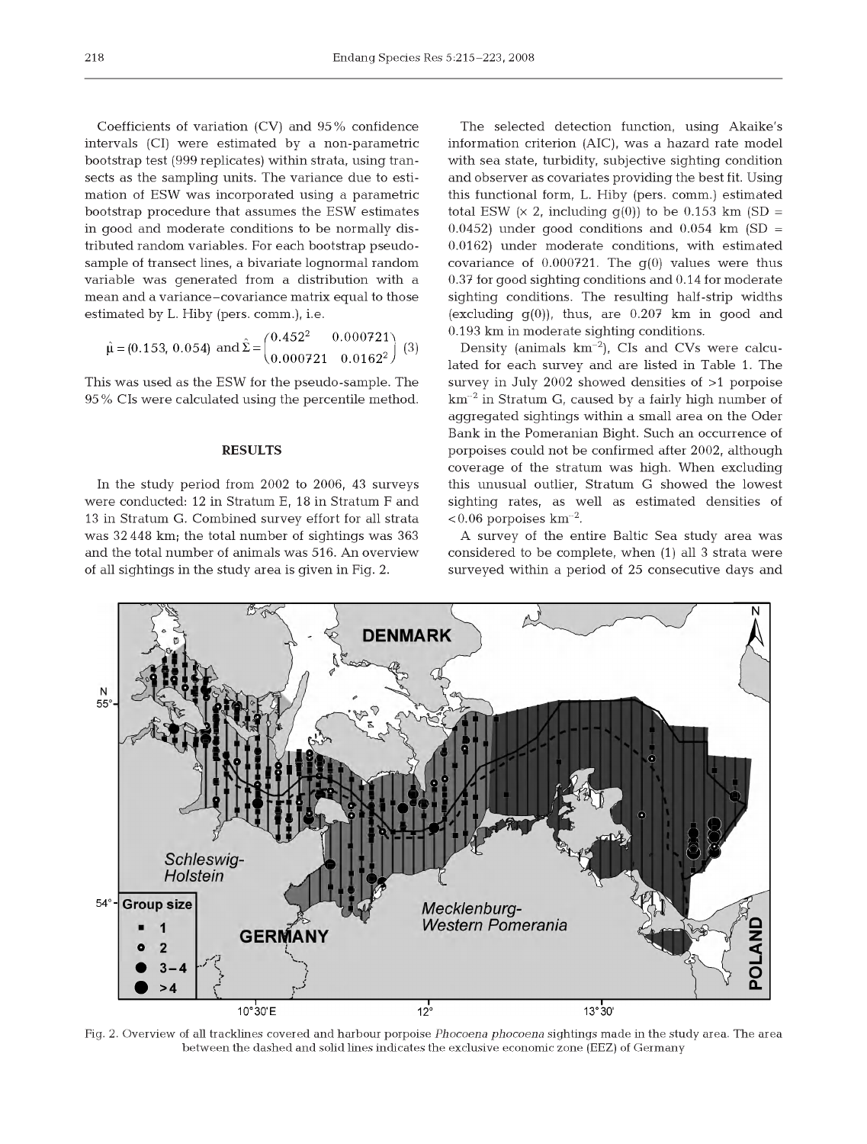Coefficients of variation (CV) and 95% confidence intervals (CI) were estimated by a non-parametric bootstrap test (999 replicates) within strata, using transects as the sampling units. The variance due to estimation of ESW was incorporated using a parametric bootstrap procedure that assumes the ESW estimates in good and moderate conditions to be normally distributed random variables. For each bootstrap pseudosample of transect lines, a bivariate lognormal random variable was generated from a distribution with a mean and a variance-covariance matrix equal to those estim ated by L. Hiby (pers. comm.), i.e.

$$
\hat{\mu} = (0.153, 0.054) \text{ and } \hat{\Sigma} = \begin{pmatrix} 0.452^2 & 0.000721 \\ 0.000721 & 0.0162^2 \end{pmatrix} (3)
$$

This was used as the ESW for the pseudo-sample. The 95% CIs were calculated using the percentile method.

### **RESULTS**

In the study period from 2002 to 2006, 43 surveys were conducted: 12 in Stratum E, 18 in Stratum F and 13 in Stratum G. Combined survey effort for all strata was 32 448 km; the total num ber of sightings was 363 and the total number of animals was 516. An overview of all sightings in the study area is given in Fig. 2.

The selected detection function, using Akaike's information criterion (AIC), was a hazard rate model with sea state, turbidity, subjective sighting condition and observer as covariates providing the best fit. Using this functional form, L. Hiby (pers. comm.) estimated total ESW  $(x 2, \text{ including } g(0))$  to be 0.153 km (SD =  $(0.0452)$  under good conditions and  $(0.054)$  km  $(SD =$  $0.0162$ ) under moderate conditions, with estimated covariance of  $0.000721$ . The  $q(0)$  values were thus  $0.37$  for good sighting conditions and  $0.14$  for moderate sighting conditions. The resulting half-strip widths (excluding  $q(0)$ ), thus, are 0.207 km in good and 0.193 km in moderate sighting conditions.

Density (animals  $km^{-2}$ ), CIs and CVs were calculated for each survey and are listed in Table 1. The survey in July 2002 showed densities of >1 porpoise  $km^{-2}$  in Stratum G, caused by a fairly high number of aggregated sightings within a small area on the Oder Bank in the Pomeranian Bight. Such an occurrence of porpoises could not be confirmed after 2002, although coverage of the stratum was high. When excluding this unusual outlier, Stratum G showed the lowest sighting rates, as well as estimated densities of  $< 0.06$  porpoises km<sup>-2</sup>.

A survey of the entire Baltic Sea study area was considered to be complete, when  $(1)$  all 3 strata were surveyed within a period of 25 consecutive days and



Fig. 2. Overview of all tracklines covered and harbour porpoise *Phocoena phocoena* sightings made in the study area. The area between the dashed and solid lines indicates the exclusive economic zone (EEZ) of Germany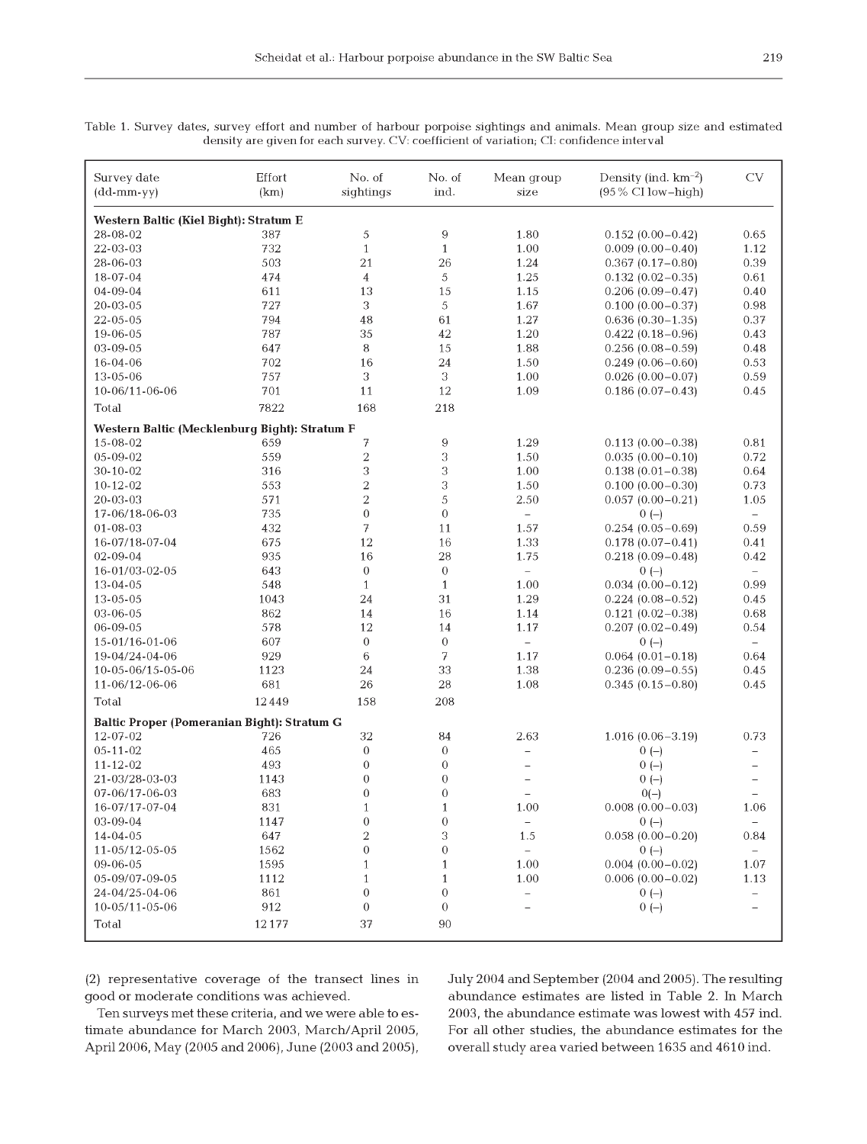Table 1. Survey dates, survey effort and number of harbour porpoise sightings and animals. Mean group size and estimated density are given for each survey. CV: coefficient of variation; CI: confidence interval

| Western Baltic (Kiel Bight): Stratum E<br>$\overline{9}$<br>387<br>5<br>1.80<br>28-08-02<br>$0.152(0.00-0.42)$<br>0.65<br>22-03-03<br>732<br>$\mathbf{1}$<br>$\mathbf{1}$<br>1.00<br>$0.009(0.00 - 0.40)$<br>1.12<br>503<br>21<br>26<br>1.24<br>0.39<br>28-06-03<br>$0.367(0.17 - 0.80)$<br>474<br>$\overline{\mathbf{4}}$<br>5<br>1.25<br>18-07-04<br>$0.132(0.02 - 0.35)$<br>0.61<br>13<br>15<br>04-09-04<br>611<br>1.15<br>$0.206(0.09 - 0.47)$<br>0.40<br>3<br>727<br>5<br>1.67<br>0.98<br>20-03-05<br>$0.100(0.00 - 0.37)$<br>794<br>48<br>1.27<br>22-05-05<br>61<br>$0.636(0.30 - 1.35)$<br>0.37<br>787<br>35<br>42<br>1.20<br>19-06-05<br>$0.422(0.18-0.96)$<br>0.43<br>8<br>15<br>03-09-05<br>647<br>1.88<br>0.48<br>$0.256(0.08-0.59)$<br>16-04-06<br>702<br>16<br>24<br>1.50<br>$0.249(0.06 - 0.60)$<br>0.53<br>3<br>3<br>757<br>1.00<br>0.59<br>13-05-06<br>$0.026(0.00 - 0.07)$<br>701<br>11<br>12<br>1.09<br>0.45<br>10-06/11-06-06<br>$0.186(0.07-0.43)$<br>7822<br>168<br>218<br>Total<br>Western Baltic (Mecklenburg Bight): Stratum F<br>7<br>$\boldsymbol{9}$<br>1.29<br>15-08-02<br>659<br>$0.113(0.00 - 0.38)$<br>0.81<br>$\overline{2}$<br>3<br>559<br>05-09-02<br>1.50<br>0.72<br>$0.035(0.00-0.10)$<br>3<br>3<br>316<br>1.00<br>30-10-02<br>$0.138(0.01 - 0.38)$<br>0.64<br>$\overline{c}$<br>3<br>$10 - 12 - 02$<br>553<br>1.50<br>$0.100(0.00 - 0.30)$<br>0.73<br>$\overline{2}$<br>5<br>20-03-03<br>571<br>2.50<br>$0.057(0.00 - 0.21)$<br>1.05<br>735<br>$\boldsymbol{0}$<br>$\mathbf{0}$<br>17-06/18-06-03<br>$0(-)$<br>$\equiv$<br>$\overline{\phantom{0}}$<br>7<br>$01 - 08 - 03$<br>432<br>11<br>1.57<br>$0.254(0.05-0.69)$<br>0.59<br>12<br>16-07/18-07-04<br>675<br>16<br>1.33<br>0.41<br>$0.178(0.07-0.41)$<br>16<br>28<br>02-09-04<br>935<br>1.75<br>$0.218(0.09 - 0.48)$<br>0.42<br>$\boldsymbol{0}$<br>$\boldsymbol{0}$<br>16-01/03-02-05<br>643<br>$\overline{\phantom{0}}$<br>$0(-)$<br>$\overline{\phantom{0}}$<br>548<br>$\mathbf{1}$<br>1.00<br>13-04-05<br>$\mathbf{1}$<br>$0.034(0.00 - 0.12)$<br>0.99<br>31<br>13-05-05<br>1043<br>24<br>1.29<br>0.45<br>$0.224(0.08-0.52)$<br>03-06-05<br>862<br>14<br>16<br>1.14<br>0.68<br>$0.121(0.02 - 0.38)$<br>578<br>12<br>06-09-05<br>14<br>1.17<br>0.54<br>$0.207(0.02 - 0.49)$<br>607<br>$\boldsymbol{0}$<br>$\theta$<br>15-01/16-01-06<br>$0(-)$<br>$\qquad \qquad -$<br>6<br>7<br>929<br>1.17<br>$0.064(0.01-0.18)$<br>19-04/24-04-06<br>0.64<br>10-05-06/15-05-06<br>1123<br>24<br>33<br>1.38<br>$0.236(0.09 - 0.55)$<br>0.45<br>681<br>26<br>28<br>1.08<br>0.45<br>11-06/12-06-06<br>$0.345(0.15-0.80)$<br>12449<br>158<br>208<br>Total<br><b>Baltic Proper (Pomeranian Bight): Stratum G</b><br>12-07-02<br>726<br>32<br>84<br>2.63<br>$1.016(0.06 - 3.19)$<br>0.73<br>465<br>$\overline{0}$<br>$05 - 11 - 02$<br>0<br>$0(-)$<br>$\overline{\phantom{0}}$<br>493<br>$\overline{0}$<br>$\overline{0}$<br>11-12-02<br>$0(-)$<br>$\overline{\phantom{0}}$<br>1143<br>$\boldsymbol{0}$<br>$\boldsymbol{0}$<br>21-03/28-03-03<br>$0(-)$<br>- | Survey date<br>$(dd\text{-}\mathrm{mm\text{-}yy})$ | Effort<br>(km) | No. of<br>sightings | No. of<br>ind. | Mean group<br>size | Density (ind. $km^{-2}$ )<br>(95% CI low-high) | CV |  |  |  |  |  |  |
|--------------------------------------------------------------------------------------------------------------------------------------------------------------------------------------------------------------------------------------------------------------------------------------------------------------------------------------------------------------------------------------------------------------------------------------------------------------------------------------------------------------------------------------------------------------------------------------------------------------------------------------------------------------------------------------------------------------------------------------------------------------------------------------------------------------------------------------------------------------------------------------------------------------------------------------------------------------------------------------------------------------------------------------------------------------------------------------------------------------------------------------------------------------------------------------------------------------------------------------------------------------------------------------------------------------------------------------------------------------------------------------------------------------------------------------------------------------------------------------------------------------------------------------------------------------------------------------------------------------------------------------------------------------------------------------------------------------------------------------------------------------------------------------------------------------------------------------------------------------------------------------------------------------------------------------------------------------------------------------------------------------------------------------------------------------------------------------------------------------------------------------------------------------------------------------------------------------------------------------------------------------------------------------------------------------------------------------------------------------------------------------------------------------------------------------------------------------------------------------------------------------------------------------------------------------------------------------------------------------------------------------------------------------------------------------------------------------------------------------------------------------------------------------------------------------------------------------------------------------------------------------------------------------------------------------------------------------------------------------------------------------------------------------|----------------------------------------------------|----------------|---------------------|----------------|--------------------|------------------------------------------------|----|--|--|--|--|--|--|
|                                                                                                                                                                                                                                                                                                                                                                                                                                                                                                                                                                                                                                                                                                                                                                                                                                                                                                                                                                                                                                                                                                                                                                                                                                                                                                                                                                                                                                                                                                                                                                                                                                                                                                                                                                                                                                                                                                                                                                                                                                                                                                                                                                                                                                                                                                                                                                                                                                                                                                                                                                                                                                                                                                                                                                                                                                                                                                                                                                                                                                      |                                                    |                |                     |                |                    |                                                |    |  |  |  |  |  |  |
|                                                                                                                                                                                                                                                                                                                                                                                                                                                                                                                                                                                                                                                                                                                                                                                                                                                                                                                                                                                                                                                                                                                                                                                                                                                                                                                                                                                                                                                                                                                                                                                                                                                                                                                                                                                                                                                                                                                                                                                                                                                                                                                                                                                                                                                                                                                                                                                                                                                                                                                                                                                                                                                                                                                                                                                                                                                                                                                                                                                                                                      |                                                    |                |                     |                |                    |                                                |    |  |  |  |  |  |  |
|                                                                                                                                                                                                                                                                                                                                                                                                                                                                                                                                                                                                                                                                                                                                                                                                                                                                                                                                                                                                                                                                                                                                                                                                                                                                                                                                                                                                                                                                                                                                                                                                                                                                                                                                                                                                                                                                                                                                                                                                                                                                                                                                                                                                                                                                                                                                                                                                                                                                                                                                                                                                                                                                                                                                                                                                                                                                                                                                                                                                                                      |                                                    |                |                     |                |                    |                                                |    |  |  |  |  |  |  |
|                                                                                                                                                                                                                                                                                                                                                                                                                                                                                                                                                                                                                                                                                                                                                                                                                                                                                                                                                                                                                                                                                                                                                                                                                                                                                                                                                                                                                                                                                                                                                                                                                                                                                                                                                                                                                                                                                                                                                                                                                                                                                                                                                                                                                                                                                                                                                                                                                                                                                                                                                                                                                                                                                                                                                                                                                                                                                                                                                                                                                                      |                                                    |                |                     |                |                    |                                                |    |  |  |  |  |  |  |
|                                                                                                                                                                                                                                                                                                                                                                                                                                                                                                                                                                                                                                                                                                                                                                                                                                                                                                                                                                                                                                                                                                                                                                                                                                                                                                                                                                                                                                                                                                                                                                                                                                                                                                                                                                                                                                                                                                                                                                                                                                                                                                                                                                                                                                                                                                                                                                                                                                                                                                                                                                                                                                                                                                                                                                                                                                                                                                                                                                                                                                      |                                                    |                |                     |                |                    |                                                |    |  |  |  |  |  |  |
|                                                                                                                                                                                                                                                                                                                                                                                                                                                                                                                                                                                                                                                                                                                                                                                                                                                                                                                                                                                                                                                                                                                                                                                                                                                                                                                                                                                                                                                                                                                                                                                                                                                                                                                                                                                                                                                                                                                                                                                                                                                                                                                                                                                                                                                                                                                                                                                                                                                                                                                                                                                                                                                                                                                                                                                                                                                                                                                                                                                                                                      |                                                    |                |                     |                |                    |                                                |    |  |  |  |  |  |  |
|                                                                                                                                                                                                                                                                                                                                                                                                                                                                                                                                                                                                                                                                                                                                                                                                                                                                                                                                                                                                                                                                                                                                                                                                                                                                                                                                                                                                                                                                                                                                                                                                                                                                                                                                                                                                                                                                                                                                                                                                                                                                                                                                                                                                                                                                                                                                                                                                                                                                                                                                                                                                                                                                                                                                                                                                                                                                                                                                                                                                                                      |                                                    |                |                     |                |                    |                                                |    |  |  |  |  |  |  |
|                                                                                                                                                                                                                                                                                                                                                                                                                                                                                                                                                                                                                                                                                                                                                                                                                                                                                                                                                                                                                                                                                                                                                                                                                                                                                                                                                                                                                                                                                                                                                                                                                                                                                                                                                                                                                                                                                                                                                                                                                                                                                                                                                                                                                                                                                                                                                                                                                                                                                                                                                                                                                                                                                                                                                                                                                                                                                                                                                                                                                                      |                                                    |                |                     |                |                    |                                                |    |  |  |  |  |  |  |
|                                                                                                                                                                                                                                                                                                                                                                                                                                                                                                                                                                                                                                                                                                                                                                                                                                                                                                                                                                                                                                                                                                                                                                                                                                                                                                                                                                                                                                                                                                                                                                                                                                                                                                                                                                                                                                                                                                                                                                                                                                                                                                                                                                                                                                                                                                                                                                                                                                                                                                                                                                                                                                                                                                                                                                                                                                                                                                                                                                                                                                      |                                                    |                |                     |                |                    |                                                |    |  |  |  |  |  |  |
|                                                                                                                                                                                                                                                                                                                                                                                                                                                                                                                                                                                                                                                                                                                                                                                                                                                                                                                                                                                                                                                                                                                                                                                                                                                                                                                                                                                                                                                                                                                                                                                                                                                                                                                                                                                                                                                                                                                                                                                                                                                                                                                                                                                                                                                                                                                                                                                                                                                                                                                                                                                                                                                                                                                                                                                                                                                                                                                                                                                                                                      |                                                    |                |                     |                |                    |                                                |    |  |  |  |  |  |  |
|                                                                                                                                                                                                                                                                                                                                                                                                                                                                                                                                                                                                                                                                                                                                                                                                                                                                                                                                                                                                                                                                                                                                                                                                                                                                                                                                                                                                                                                                                                                                                                                                                                                                                                                                                                                                                                                                                                                                                                                                                                                                                                                                                                                                                                                                                                                                                                                                                                                                                                                                                                                                                                                                                                                                                                                                                                                                                                                                                                                                                                      |                                                    |                |                     |                |                    |                                                |    |  |  |  |  |  |  |
|                                                                                                                                                                                                                                                                                                                                                                                                                                                                                                                                                                                                                                                                                                                                                                                                                                                                                                                                                                                                                                                                                                                                                                                                                                                                                                                                                                                                                                                                                                                                                                                                                                                                                                                                                                                                                                                                                                                                                                                                                                                                                                                                                                                                                                                                                                                                                                                                                                                                                                                                                                                                                                                                                                                                                                                                                                                                                                                                                                                                                                      |                                                    |                |                     |                |                    |                                                |    |  |  |  |  |  |  |
|                                                                                                                                                                                                                                                                                                                                                                                                                                                                                                                                                                                                                                                                                                                                                                                                                                                                                                                                                                                                                                                                                                                                                                                                                                                                                                                                                                                                                                                                                                                                                                                                                                                                                                                                                                                                                                                                                                                                                                                                                                                                                                                                                                                                                                                                                                                                                                                                                                                                                                                                                                                                                                                                                                                                                                                                                                                                                                                                                                                                                                      |                                                    |                |                     |                |                    |                                                |    |  |  |  |  |  |  |
|                                                                                                                                                                                                                                                                                                                                                                                                                                                                                                                                                                                                                                                                                                                                                                                                                                                                                                                                                                                                                                                                                                                                                                                                                                                                                                                                                                                                                                                                                                                                                                                                                                                                                                                                                                                                                                                                                                                                                                                                                                                                                                                                                                                                                                                                                                                                                                                                                                                                                                                                                                                                                                                                                                                                                                                                                                                                                                                                                                                                                                      |                                                    |                |                     |                |                    |                                                |    |  |  |  |  |  |  |
|                                                                                                                                                                                                                                                                                                                                                                                                                                                                                                                                                                                                                                                                                                                                                                                                                                                                                                                                                                                                                                                                                                                                                                                                                                                                                                                                                                                                                                                                                                                                                                                                                                                                                                                                                                                                                                                                                                                                                                                                                                                                                                                                                                                                                                                                                                                                                                                                                                                                                                                                                                                                                                                                                                                                                                                                                                                                                                                                                                                                                                      |                                                    |                |                     |                |                    |                                                |    |  |  |  |  |  |  |
|                                                                                                                                                                                                                                                                                                                                                                                                                                                                                                                                                                                                                                                                                                                                                                                                                                                                                                                                                                                                                                                                                                                                                                                                                                                                                                                                                                                                                                                                                                                                                                                                                                                                                                                                                                                                                                                                                                                                                                                                                                                                                                                                                                                                                                                                                                                                                                                                                                                                                                                                                                                                                                                                                                                                                                                                                                                                                                                                                                                                                                      |                                                    |                |                     |                |                    |                                                |    |  |  |  |  |  |  |
|                                                                                                                                                                                                                                                                                                                                                                                                                                                                                                                                                                                                                                                                                                                                                                                                                                                                                                                                                                                                                                                                                                                                                                                                                                                                                                                                                                                                                                                                                                                                                                                                                                                                                                                                                                                                                                                                                                                                                                                                                                                                                                                                                                                                                                                                                                                                                                                                                                                                                                                                                                                                                                                                                                                                                                                                                                                                                                                                                                                                                                      |                                                    |                |                     |                |                    |                                                |    |  |  |  |  |  |  |
|                                                                                                                                                                                                                                                                                                                                                                                                                                                                                                                                                                                                                                                                                                                                                                                                                                                                                                                                                                                                                                                                                                                                                                                                                                                                                                                                                                                                                                                                                                                                                                                                                                                                                                                                                                                                                                                                                                                                                                                                                                                                                                                                                                                                                                                                                                                                                                                                                                                                                                                                                                                                                                                                                                                                                                                                                                                                                                                                                                                                                                      |                                                    |                |                     |                |                    |                                                |    |  |  |  |  |  |  |
|                                                                                                                                                                                                                                                                                                                                                                                                                                                                                                                                                                                                                                                                                                                                                                                                                                                                                                                                                                                                                                                                                                                                                                                                                                                                                                                                                                                                                                                                                                                                                                                                                                                                                                                                                                                                                                                                                                                                                                                                                                                                                                                                                                                                                                                                                                                                                                                                                                                                                                                                                                                                                                                                                                                                                                                                                                                                                                                                                                                                                                      |                                                    |                |                     |                |                    |                                                |    |  |  |  |  |  |  |
|                                                                                                                                                                                                                                                                                                                                                                                                                                                                                                                                                                                                                                                                                                                                                                                                                                                                                                                                                                                                                                                                                                                                                                                                                                                                                                                                                                                                                                                                                                                                                                                                                                                                                                                                                                                                                                                                                                                                                                                                                                                                                                                                                                                                                                                                                                                                                                                                                                                                                                                                                                                                                                                                                                                                                                                                                                                                                                                                                                                                                                      |                                                    |                |                     |                |                    |                                                |    |  |  |  |  |  |  |
|                                                                                                                                                                                                                                                                                                                                                                                                                                                                                                                                                                                                                                                                                                                                                                                                                                                                                                                                                                                                                                                                                                                                                                                                                                                                                                                                                                                                                                                                                                                                                                                                                                                                                                                                                                                                                                                                                                                                                                                                                                                                                                                                                                                                                                                                                                                                                                                                                                                                                                                                                                                                                                                                                                                                                                                                                                                                                                                                                                                                                                      |                                                    |                |                     |                |                    |                                                |    |  |  |  |  |  |  |
|                                                                                                                                                                                                                                                                                                                                                                                                                                                                                                                                                                                                                                                                                                                                                                                                                                                                                                                                                                                                                                                                                                                                                                                                                                                                                                                                                                                                                                                                                                                                                                                                                                                                                                                                                                                                                                                                                                                                                                                                                                                                                                                                                                                                                                                                                                                                                                                                                                                                                                                                                                                                                                                                                                                                                                                                                                                                                                                                                                                                                                      |                                                    |                |                     |                |                    |                                                |    |  |  |  |  |  |  |
|                                                                                                                                                                                                                                                                                                                                                                                                                                                                                                                                                                                                                                                                                                                                                                                                                                                                                                                                                                                                                                                                                                                                                                                                                                                                                                                                                                                                                                                                                                                                                                                                                                                                                                                                                                                                                                                                                                                                                                                                                                                                                                                                                                                                                                                                                                                                                                                                                                                                                                                                                                                                                                                                                                                                                                                                                                                                                                                                                                                                                                      |                                                    |                |                     |                |                    |                                                |    |  |  |  |  |  |  |
|                                                                                                                                                                                                                                                                                                                                                                                                                                                                                                                                                                                                                                                                                                                                                                                                                                                                                                                                                                                                                                                                                                                                                                                                                                                                                                                                                                                                                                                                                                                                                                                                                                                                                                                                                                                                                                                                                                                                                                                                                                                                                                                                                                                                                                                                                                                                                                                                                                                                                                                                                                                                                                                                                                                                                                                                                                                                                                                                                                                                                                      |                                                    |                |                     |                |                    |                                                |    |  |  |  |  |  |  |
|                                                                                                                                                                                                                                                                                                                                                                                                                                                                                                                                                                                                                                                                                                                                                                                                                                                                                                                                                                                                                                                                                                                                                                                                                                                                                                                                                                                                                                                                                                                                                                                                                                                                                                                                                                                                                                                                                                                                                                                                                                                                                                                                                                                                                                                                                                                                                                                                                                                                                                                                                                                                                                                                                                                                                                                                                                                                                                                                                                                                                                      |                                                    |                |                     |                |                    |                                                |    |  |  |  |  |  |  |
|                                                                                                                                                                                                                                                                                                                                                                                                                                                                                                                                                                                                                                                                                                                                                                                                                                                                                                                                                                                                                                                                                                                                                                                                                                                                                                                                                                                                                                                                                                                                                                                                                                                                                                                                                                                                                                                                                                                                                                                                                                                                                                                                                                                                                                                                                                                                                                                                                                                                                                                                                                                                                                                                                                                                                                                                                                                                                                                                                                                                                                      |                                                    |                |                     |                |                    |                                                |    |  |  |  |  |  |  |
|                                                                                                                                                                                                                                                                                                                                                                                                                                                                                                                                                                                                                                                                                                                                                                                                                                                                                                                                                                                                                                                                                                                                                                                                                                                                                                                                                                                                                                                                                                                                                                                                                                                                                                                                                                                                                                                                                                                                                                                                                                                                                                                                                                                                                                                                                                                                                                                                                                                                                                                                                                                                                                                                                                                                                                                                                                                                                                                                                                                                                                      |                                                    |                |                     |                |                    |                                                |    |  |  |  |  |  |  |
|                                                                                                                                                                                                                                                                                                                                                                                                                                                                                                                                                                                                                                                                                                                                                                                                                                                                                                                                                                                                                                                                                                                                                                                                                                                                                                                                                                                                                                                                                                                                                                                                                                                                                                                                                                                                                                                                                                                                                                                                                                                                                                                                                                                                                                                                                                                                                                                                                                                                                                                                                                                                                                                                                                                                                                                                                                                                                                                                                                                                                                      |                                                    |                |                     |                |                    |                                                |    |  |  |  |  |  |  |
|                                                                                                                                                                                                                                                                                                                                                                                                                                                                                                                                                                                                                                                                                                                                                                                                                                                                                                                                                                                                                                                                                                                                                                                                                                                                                                                                                                                                                                                                                                                                                                                                                                                                                                                                                                                                                                                                                                                                                                                                                                                                                                                                                                                                                                                                                                                                                                                                                                                                                                                                                                                                                                                                                                                                                                                                                                                                                                                                                                                                                                      |                                                    |                |                     |                |                    |                                                |    |  |  |  |  |  |  |
|                                                                                                                                                                                                                                                                                                                                                                                                                                                                                                                                                                                                                                                                                                                                                                                                                                                                                                                                                                                                                                                                                                                                                                                                                                                                                                                                                                                                                                                                                                                                                                                                                                                                                                                                                                                                                                                                                                                                                                                                                                                                                                                                                                                                                                                                                                                                                                                                                                                                                                                                                                                                                                                                                                                                                                                                                                                                                                                                                                                                                                      |                                                    |                |                     |                |                    |                                                |    |  |  |  |  |  |  |
|                                                                                                                                                                                                                                                                                                                                                                                                                                                                                                                                                                                                                                                                                                                                                                                                                                                                                                                                                                                                                                                                                                                                                                                                                                                                                                                                                                                                                                                                                                                                                                                                                                                                                                                                                                                                                                                                                                                                                                                                                                                                                                                                                                                                                                                                                                                                                                                                                                                                                                                                                                                                                                                                                                                                                                                                                                                                                                                                                                                                                                      |                                                    |                |                     |                |                    |                                                |    |  |  |  |  |  |  |
|                                                                                                                                                                                                                                                                                                                                                                                                                                                                                                                                                                                                                                                                                                                                                                                                                                                                                                                                                                                                                                                                                                                                                                                                                                                                                                                                                                                                                                                                                                                                                                                                                                                                                                                                                                                                                                                                                                                                                                                                                                                                                                                                                                                                                                                                                                                                                                                                                                                                                                                                                                                                                                                                                                                                                                                                                                                                                                                                                                                                                                      |                                                    |                |                     |                |                    |                                                |    |  |  |  |  |  |  |
|                                                                                                                                                                                                                                                                                                                                                                                                                                                                                                                                                                                                                                                                                                                                                                                                                                                                                                                                                                                                                                                                                                                                                                                                                                                                                                                                                                                                                                                                                                                                                                                                                                                                                                                                                                                                                                                                                                                                                                                                                                                                                                                                                                                                                                                                                                                                                                                                                                                                                                                                                                                                                                                                                                                                                                                                                                                                                                                                                                                                                                      |                                                    |                |                     |                |                    |                                                |    |  |  |  |  |  |  |
|                                                                                                                                                                                                                                                                                                                                                                                                                                                                                                                                                                                                                                                                                                                                                                                                                                                                                                                                                                                                                                                                                                                                                                                                                                                                                                                                                                                                                                                                                                                                                                                                                                                                                                                                                                                                                                                                                                                                                                                                                                                                                                                                                                                                                                                                                                                                                                                                                                                                                                                                                                                                                                                                                                                                                                                                                                                                                                                                                                                                                                      |                                                    |                |                     |                |                    |                                                |    |  |  |  |  |  |  |
|                                                                                                                                                                                                                                                                                                                                                                                                                                                                                                                                                                                                                                                                                                                                                                                                                                                                                                                                                                                                                                                                                                                                                                                                                                                                                                                                                                                                                                                                                                                                                                                                                                                                                                                                                                                                                                                                                                                                                                                                                                                                                                                                                                                                                                                                                                                                                                                                                                                                                                                                                                                                                                                                                                                                                                                                                                                                                                                                                                                                                                      |                                                    |                |                     |                |                    |                                                |    |  |  |  |  |  |  |
|                                                                                                                                                                                                                                                                                                                                                                                                                                                                                                                                                                                                                                                                                                                                                                                                                                                                                                                                                                                                                                                                                                                                                                                                                                                                                                                                                                                                                                                                                                                                                                                                                                                                                                                                                                                                                                                                                                                                                                                                                                                                                                                                                                                                                                                                                                                                                                                                                                                                                                                                                                                                                                                                                                                                                                                                                                                                                                                                                                                                                                      |                                                    |                |                     |                |                    |                                                |    |  |  |  |  |  |  |
|                                                                                                                                                                                                                                                                                                                                                                                                                                                                                                                                                                                                                                                                                                                                                                                                                                                                                                                                                                                                                                                                                                                                                                                                                                                                                                                                                                                                                                                                                                                                                                                                                                                                                                                                                                                                                                                                                                                                                                                                                                                                                                                                                                                                                                                                                                                                                                                                                                                                                                                                                                                                                                                                                                                                                                                                                                                                                                                                                                                                                                      |                                                    |                |                     |                |                    |                                                |    |  |  |  |  |  |  |
|                                                                                                                                                                                                                                                                                                                                                                                                                                                                                                                                                                                                                                                                                                                                                                                                                                                                                                                                                                                                                                                                                                                                                                                                                                                                                                                                                                                                                                                                                                                                                                                                                                                                                                                                                                                                                                                                                                                                                                                                                                                                                                                                                                                                                                                                                                                                                                                                                                                                                                                                                                                                                                                                                                                                                                                                                                                                                                                                                                                                                                      |                                                    |                |                     |                |                    |                                                |    |  |  |  |  |  |  |
|                                                                                                                                                                                                                                                                                                                                                                                                                                                                                                                                                                                                                                                                                                                                                                                                                                                                                                                                                                                                                                                                                                                                                                                                                                                                                                                                                                                                                                                                                                                                                                                                                                                                                                                                                                                                                                                                                                                                                                                                                                                                                                                                                                                                                                                                                                                                                                                                                                                                                                                                                                                                                                                                                                                                                                                                                                                                                                                                                                                                                                      |                                                    |                |                     |                |                    |                                                |    |  |  |  |  |  |  |
|                                                                                                                                                                                                                                                                                                                                                                                                                                                                                                                                                                                                                                                                                                                                                                                                                                                                                                                                                                                                                                                                                                                                                                                                                                                                                                                                                                                                                                                                                                                                                                                                                                                                                                                                                                                                                                                                                                                                                                                                                                                                                                                                                                                                                                                                                                                                                                                                                                                                                                                                                                                                                                                                                                                                                                                                                                                                                                                                                                                                                                      |                                                    |                |                     |                |                    |                                                |    |  |  |  |  |  |  |
|                                                                                                                                                                                                                                                                                                                                                                                                                                                                                                                                                                                                                                                                                                                                                                                                                                                                                                                                                                                                                                                                                                                                                                                                                                                                                                                                                                                                                                                                                                                                                                                                                                                                                                                                                                                                                                                                                                                                                                                                                                                                                                                                                                                                                                                                                                                                                                                                                                                                                                                                                                                                                                                                                                                                                                                                                                                                                                                                                                                                                                      |                                                    |                |                     |                |                    |                                                |    |  |  |  |  |  |  |
|                                                                                                                                                                                                                                                                                                                                                                                                                                                                                                                                                                                                                                                                                                                                                                                                                                                                                                                                                                                                                                                                                                                                                                                                                                                                                                                                                                                                                                                                                                                                                                                                                                                                                                                                                                                                                                                                                                                                                                                                                                                                                                                                                                                                                                                                                                                                                                                                                                                                                                                                                                                                                                                                                                                                                                                                                                                                                                                                                                                                                                      | 07-06/17-06-03                                     | 683            | $\mathbf{0}$        | $\overline{0}$ | $\equiv$           | $0(-)$                                         |    |  |  |  |  |  |  |
| $\mathbf{1}$<br>$\mathbf{1}$<br>16-07/17-07-04<br>831<br>1.00<br>$0.008(0.00 - 0.03)$<br>1.06                                                                                                                                                                                                                                                                                                                                                                                                                                                                                                                                                                                                                                                                                                                                                                                                                                                                                                                                                                                                                                                                                                                                                                                                                                                                                                                                                                                                                                                                                                                                                                                                                                                                                                                                                                                                                                                                                                                                                                                                                                                                                                                                                                                                                                                                                                                                                                                                                                                                                                                                                                                                                                                                                                                                                                                                                                                                                                                                        |                                                    |                |                     |                |                    |                                                |    |  |  |  |  |  |  |
| $\boldsymbol{0}$<br>03-09-04<br>$\boldsymbol{0}$<br>1147<br>$0(-)$<br>$\qquad \qquad -$<br>$\qquad \qquad -$                                                                                                                                                                                                                                                                                                                                                                                                                                                                                                                                                                                                                                                                                                                                                                                                                                                                                                                                                                                                                                                                                                                                                                                                                                                                                                                                                                                                                                                                                                                                                                                                                                                                                                                                                                                                                                                                                                                                                                                                                                                                                                                                                                                                                                                                                                                                                                                                                                                                                                                                                                                                                                                                                                                                                                                                                                                                                                                         |                                                    |                |                     |                |                    |                                                |    |  |  |  |  |  |  |
| 2<br>3<br>647<br>0.84<br>$14 - 04 - 05$<br>1.5<br>$0.058(0.00 - 0.20)$                                                                                                                                                                                                                                                                                                                                                                                                                                                                                                                                                                                                                                                                                                                                                                                                                                                                                                                                                                                                                                                                                                                                                                                                                                                                                                                                                                                                                                                                                                                                                                                                                                                                                                                                                                                                                                                                                                                                                                                                                                                                                                                                                                                                                                                                                                                                                                                                                                                                                                                                                                                                                                                                                                                                                                                                                                                                                                                                                               |                                                    |                |                     |                |                    |                                                |    |  |  |  |  |  |  |
| $\boldsymbol{0}$<br>$\overline{0}$<br>1562<br>11-05/12-05-05<br>$0(-)$<br>$\overline{\phantom{0}}$<br>$\overline{\phantom{0}}$                                                                                                                                                                                                                                                                                                                                                                                                                                                                                                                                                                                                                                                                                                                                                                                                                                                                                                                                                                                                                                                                                                                                                                                                                                                                                                                                                                                                                                                                                                                                                                                                                                                                                                                                                                                                                                                                                                                                                                                                                                                                                                                                                                                                                                                                                                                                                                                                                                                                                                                                                                                                                                                                                                                                                                                                                                                                                                       |                                                    |                |                     |                |                    |                                                |    |  |  |  |  |  |  |
| $\mathbf{1}$<br>09-06-05<br>1595<br>$\mathbf{1}$<br>1.00<br>$0.004(0.00-0.02)$<br>1.07                                                                                                                                                                                                                                                                                                                                                                                                                                                                                                                                                                                                                                                                                                                                                                                                                                                                                                                                                                                                                                                                                                                                                                                                                                                                                                                                                                                                                                                                                                                                                                                                                                                                                                                                                                                                                                                                                                                                                                                                                                                                                                                                                                                                                                                                                                                                                                                                                                                                                                                                                                                                                                                                                                                                                                                                                                                                                                                                               |                                                    |                |                     |                |                    |                                                |    |  |  |  |  |  |  |
| $\mathbf{1}$<br>05-09/07-09-05<br>1112<br>1.00<br>$0.006(0.00 - 0.02)$<br>1.13<br>$\mathbf{1}$                                                                                                                                                                                                                                                                                                                                                                                                                                                                                                                                                                                                                                                                                                                                                                                                                                                                                                                                                                                                                                                                                                                                                                                                                                                                                                                                                                                                                                                                                                                                                                                                                                                                                                                                                                                                                                                                                                                                                                                                                                                                                                                                                                                                                                                                                                                                                                                                                                                                                                                                                                                                                                                                                                                                                                                                                                                                                                                                       |                                                    |                |                     |                |                    |                                                |    |  |  |  |  |  |  |
| $\boldsymbol{0}$<br>861<br>$\boldsymbol{0}$<br>24-04/25-04-06<br>$0(-)$<br>$\qquad \qquad -$<br>-                                                                                                                                                                                                                                                                                                                                                                                                                                                                                                                                                                                                                                                                                                                                                                                                                                                                                                                                                                                                                                                                                                                                                                                                                                                                                                                                                                                                                                                                                                                                                                                                                                                                                                                                                                                                                                                                                                                                                                                                                                                                                                                                                                                                                                                                                                                                                                                                                                                                                                                                                                                                                                                                                                                                                                                                                                                                                                                                    |                                                    |                |                     |                |                    |                                                |    |  |  |  |  |  |  |
| 912<br>$\boldsymbol{0}$<br>$\boldsymbol{0}$<br>10-05/11-05-06<br>$0(-)$<br>$\qquad \qquad -$                                                                                                                                                                                                                                                                                                                                                                                                                                                                                                                                                                                                                                                                                                                                                                                                                                                                                                                                                                                                                                                                                                                                                                                                                                                                                                                                                                                                                                                                                                                                                                                                                                                                                                                                                                                                                                                                                                                                                                                                                                                                                                                                                                                                                                                                                                                                                                                                                                                                                                                                                                                                                                                                                                                                                                                                                                                                                                                                         |                                                    |                |                     |                |                    |                                                |    |  |  |  |  |  |  |
| Total<br>12177<br>37<br>90                                                                                                                                                                                                                                                                                                                                                                                                                                                                                                                                                                                                                                                                                                                                                                                                                                                                                                                                                                                                                                                                                                                                                                                                                                                                                                                                                                                                                                                                                                                                                                                                                                                                                                                                                                                                                                                                                                                                                                                                                                                                                                                                                                                                                                                                                                                                                                                                                                                                                                                                                                                                                                                                                                                                                                                                                                                                                                                                                                                                           |                                                    |                |                     |                |                    |                                                |    |  |  |  |  |  |  |

(2) representative coverage of the transect lines in good or moderate conditions was achieved.

Ten surveys met these criteria, and we were able to estimate abundance for March 2003, March/April 2005, April 2006, May (2005 and 2006), June (2003 and 2005), July 2004 and September (2004 and 2005). The resulting abundance estimates are listed in Table 2. In March 2003, the abundance estimate was lowest with 457 ind. For all other studies, the abundance estimates for the overall study area varied between 1635 and 4610 ind.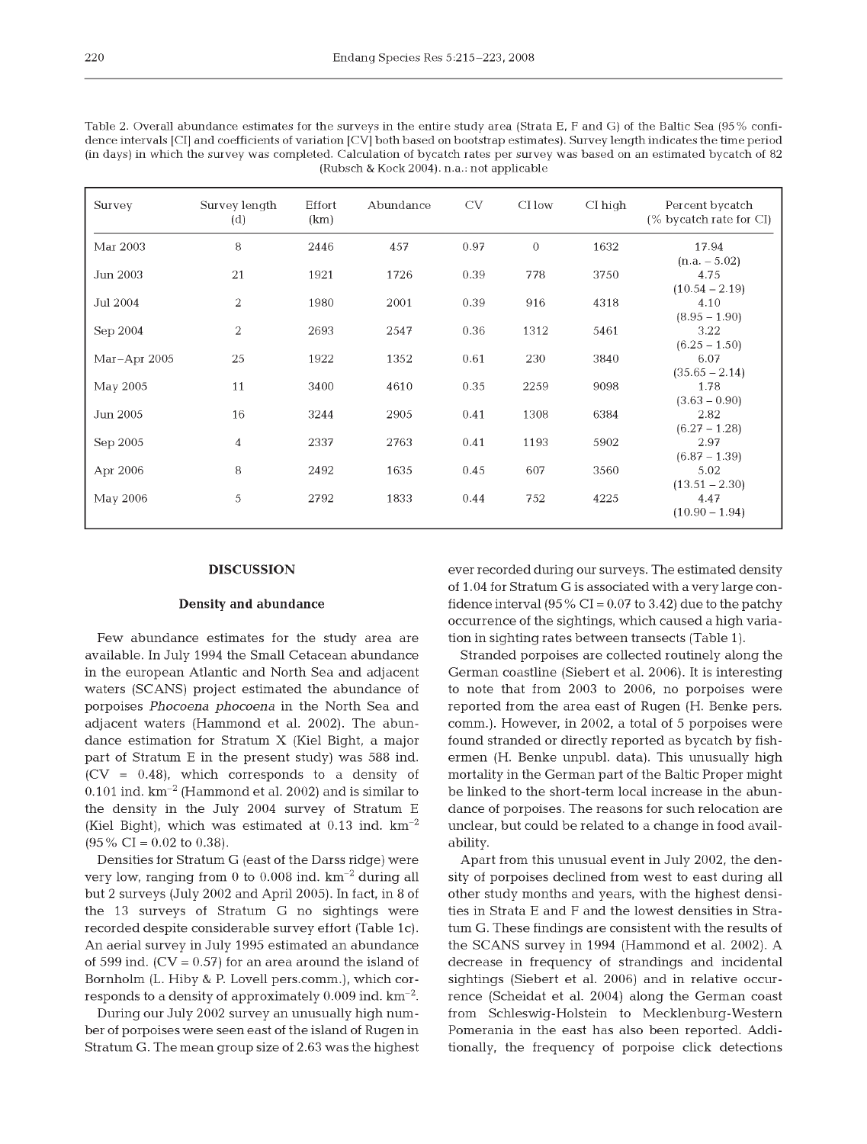| Table 2. Overall abundance estimates for the surveys in the entire study area (Strata E, F and G) of the Baltic Sea (95% confi-     |
|-------------------------------------------------------------------------------------------------------------------------------------|
| dence intervals [CI] and coefficients of variation [CV] both based on bootstrap estimates). Survey length indicates the time period |
| (in days) in which the survey was completed. Calculation of bycatch rates per survey was based on an estimated bycatch of 82        |
| (Rubsch & Kock 2004). n.a.: not applicable                                                                                          |

| Survey       | Survey length<br>(d) | Effort<br>(km) | Abundance | CV   | CI low   | $CI$ high | Percent bycatch<br>(% bycatch rate for CI) |
|--------------|----------------------|----------------|-----------|------|----------|-----------|--------------------------------------------|
| Mar 2003     | 8                    | 2446           | 457       | 0.97 | $\theta$ | 1632      | 17.94                                      |
|              |                      |                |           |      |          |           | $(n.a. - 5.02)$                            |
| Jun 2003     | 21                   | 1921           | 1726      | 0.39 | 778      | 3750      | 4.75                                       |
|              |                      |                |           |      |          |           | $(10.54 - 2.19)$                           |
| Jul 2004     | $\overline{2}$       | 1980           | 2001      | 0.39 | 916      | 4318      | 4.10                                       |
|              |                      |                |           |      |          |           | $(8.95 - 1.90)$                            |
| Sep 2004     | 2                    | 2693           | 2547      | 0.36 | 1312     | 5461      | 3.22                                       |
|              |                      |                |           |      |          |           | $(6.25 - 1.50)$                            |
| Mar-Apr 2005 | 25                   | 1922           | 1352      | 0.61 | 230      | 3840      | 6.07                                       |
|              |                      |                |           |      |          |           | $(35.65 - 2.14)$                           |
| May 2005     | 11                   | 3400           | 4610      | 0.35 | 2259     | 9098      | 1.78                                       |
|              |                      |                |           |      |          |           | $(3.63 - 0.90)$                            |
| Jun 2005     | 16                   | 3244           | 2905      | 0.41 | 1308     | 6384      | 2.82                                       |
|              |                      |                |           |      |          |           | $(6.27 - 1.28)$                            |
| Sep 2005     | $\overline{4}$       | 2337           | 2763      | 0.41 | 1193     | 5902      | 2.97                                       |
|              |                      |                |           |      |          |           | $(6.87 - 1.39)$                            |
| Apr 2006     | 8                    | 2492           | 1635      | 0.45 | 607      | 3560      | 5.02                                       |
|              |                      |                |           |      |          |           | $(13.51 - 2.30)$                           |
| May 2006     | 5                    | 2792           | 1833      | 0.44 | 752      | 4225      | 4.47                                       |
|              |                      |                |           |      |          |           | $(10.90 - 1.94)$                           |

#### **DISCUSSION**

### **Density and abundance**

Few abundance estimates for the study area are available. In July 1994 the Small Cetacean abundance in the european Atlantic and North Sea and adjacent waters (SCANS) project estimated the abundance of porpoises Phocoena phocoena in the North Sea and adjacent waters (Hammond et al. 2002). The abundance estimation for Stratum X (Kiel Bight, a major part of Stratum E in the present study) was 588 ind.  $(CV = 0.48)$ , which corresponds to a density of  $0.101$  ind.  $km^{-2}$  (Hammond et al. 2002) and is similar to the density in the July 2004 survey of Stratum E (Kiel Bight), which was estimated at  $0.13$  ind.  $km^{-2}$  $(95\% \text{ CI} = 0.02 \text{ to } 0.38).$ 

Densities for Stratum G (east of the Darss ridge) were very low, ranging from 0 to 0.008 ind.  $km^{-2}$  during all but 2 surveys (July 2002 and April 2005). In fact, in 8 of the 13 surveys of Stratum G no sightings were recorded despite considerable survey effort (Table 1c). An aerial survey in July 1995 estimated an abundance of 599 ind.  $(CV = 0.57)$  for an area around the island of Bornholm (L. Hiby & P. Lovell pers.comm.), which corresponds to a density of approximately  $0.009$  ind.  $\text{km}^{-2}$ .

During our July 2002 survey an unusually high number of porpoises were seen east of the island of Rugen in Stratum G. The mean group size of 2.63 was the highest ever recorded during our surveys. The estimated density of 1.04 for Stratum G is associated with a very large confidence interval  $(95\%$  CI = 0.07 to 3.42) due to the patchy occurrence of the sightings, which caused a high variation in sighting rates between transects (Table 1).

Stranded porpoises are collected routinely along the German coastline (Siebert et al. 2006). It is interesting to note that from 2003 to 2006, no porpoises were reported from the area east of Rugen (H. Benke pers. comm.). However, in 2002, a total of 5 porpoises were found stranded or directly reported as bycatch by fishermen (H. Benke unpubl. data). This unusually high mortality in the German part of the Baltic Proper might be linked to the short-term local increase in the abundance of porpoises. The reasons for such relocation are unclear, but could be related to a change in food availability.

Apart from this unusual event in July 2002, the density of porpoises declined from west to east during all other study months and years, with the highest densities in Strata E and F and the lowest densities in Stratum G. These findings are consistent with the results of the SCANS survey in 1994 (Hammond et al. 2002). A decrease in frequency of strandings and incidental sightings (Siebert et al. 2006) and in relative occurrence (Scheidat et al. 2004) along the German coast from Schleswig-Holstein to Mecklenburg-Western Pomerania in the east has also been reported. Additionally, the frequency of porpoise click detections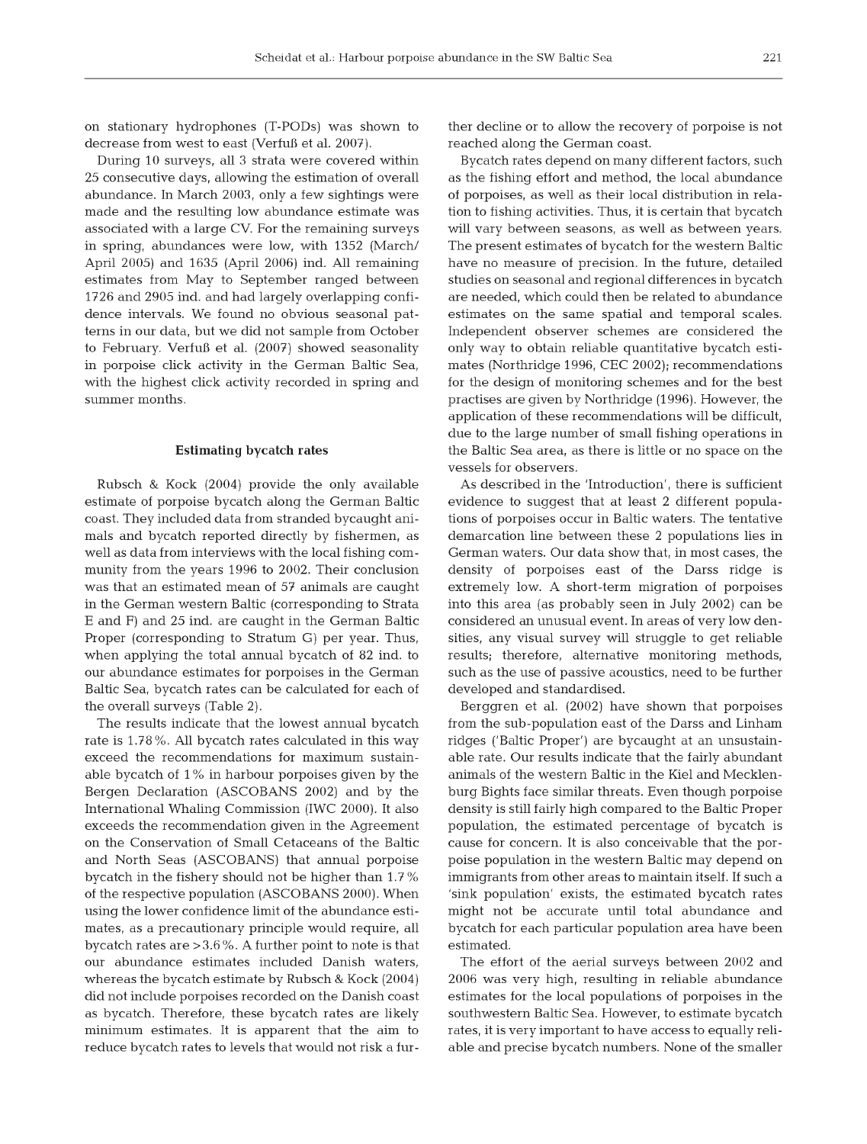on stationary hydrophones (T-PODs) was shown to decrease from west to east (Verfuß et al. 2007).

During 10 surveys, all 3 strata were covered within 25 consecutive days, allowing the estimation of overall abundance. In March 2003, only a few sightings were made and the resulting low abundance estimate was associated with a large CV. For the remaining surveys in spring, abundances were low, with 1352 (March/ April 2005) and  $1635$  (April 2006) ind. All remaining estimates from May to September ranged between 1726 and 2905 ind. and had largely overlapping confidence intervals. We found no obvious seasonal patterns in our data, but we did not sample from October to February. Verfuß et al. (2007) showed seasonality in porpoise click activity in the German Baltic Sea, with the highest click activity recorded in spring and summer months.

## **Estimating bycatch rates**

Rubsch & Kock (2004) provide the only available estimate of porpoise bycatch along the German Baltic coast. They included data from stranded bycaught animals and bycatch reported directly by fishermen, as well as data from interviews with the local fishing com munity from the years 1996 to 2002. Their conclusion was that an estimated mean of 57 animals are caught in the German western Baltic (corresponding to Strata E and F) and 25 ind. are caught in the German Baltic Proper (corresponding to Stratum G) per year. Thus, when applying the total annual bycatch of 82 ind. to our abundance estimates for porpoises in the German Baltic Sea, bycatch rates can be calculated for each of the overall surveys (Table 2).

The results indicate that the lowest annual bycatch rate is 1.78%. All bycatch rates calculated in this way exceed the recommendations for maximum sustainable bycatch of 1 % in harbour porpoises given by the Bergen Declaration (ASCOBANS 2002) and by the International Whaling Commission (IWC 2000). It also exceeds the recommendation given in the Agreement on the Conservation of Small Cetaceans of the Baltic and North Seas (ASCOBANS) that annual porpoise bycatch in the fishery should not be higher than 1.7 % of the respective population (ASCOBANS 2000). When using the lower confidence limit of the abundance estimates, as a precautionary principle would require, all bycatch rates are  $>3.6\%$ . A further point to note is that our abundance estimates included Danish waters, whereas the bycatch estimate by Rubsch & Kock  $(2004)$ did not include porpoises recorded on the Danish coast as bycatch. Therefore, these bycatch rates are likely minimum estimates. It is apparent that the aim to reduce bycatch rates to levels that would not risk a further decline or to allow the recovery of porpoise is not reached along the German coast.

Bycatch rates depend on many different factors, such as the fishing effort and method, the local abundance of porpoises, as well as their local distribution in relation to fishing activities. Thus, it is certain that bycatch will vary between seasons, as well as between years. The present estimates of bycatch for the western Baltic have no measure of precision. In the future, detailed studies on seasonal and regional differences in bycatch are needed, which could then be related to abundance estimates on the same spatial and temporal scales. Independent observer schemes are considered the only way to obtain reliable quantitative bycatch estimates (Northridge 1996, CEC 2002); recommendations for the design of monitoring schemes and for the best practises are given by Northridge (1996). However, the application of these recommendations will be difficult, due to the large num ber of small fishing operations in the Baltic Sea area, as there is little or no space on the vessels for observers.

As described in the 'Introduction', there is sufficient evidence to suggest that at least 2 different populations of porpoises occur in Baltic waters. The tentative demarcation line between these 2 populations lies in German waters. Our data show that, in most cases, the density of porpoises east of the Darss ridge is extremely low. A short-term migration of porpoises into this area (as probably seen in July 2002) can be considered an unusual event. In areas of very low densities, any visual survey will struggle to get reliable results; therefore, alternative monitoring methods, such as the use of passive acoustics, need to be further developed and standardised.

Berggren et al. (2002) have shown that porpoises from the sub-population east of the Darss and Linham ridges ('Baltic Proper') are bycaught at an unsustainable rate. Our results indicate that the fairly abundant animals of the western Baltic in the Kiel and Mecklenburg Bights face similar threats. Even though porpoise density is still fairly high compared to the Baltic Proper population, the estimated percentage of bycatch is cause for concern. It is also conceivable that the porpoise population in the western Baltic may depend on immigrants from other areas to maintain itself. If such a 'sink population' exists, the estimated bycatch rates might not be accurate until total abundance and bycatch for each particular population area have been estimated.

The effort of the aerial surveys between 2002 and 2006 was very high, resulting in reliable abundance estim ates for the local populations of porpoises in the southwestern Baltic Sea. However, to estimate bycatch rates, it is very important to have access to equally reliable and precise bycatch numbers. None of the smaller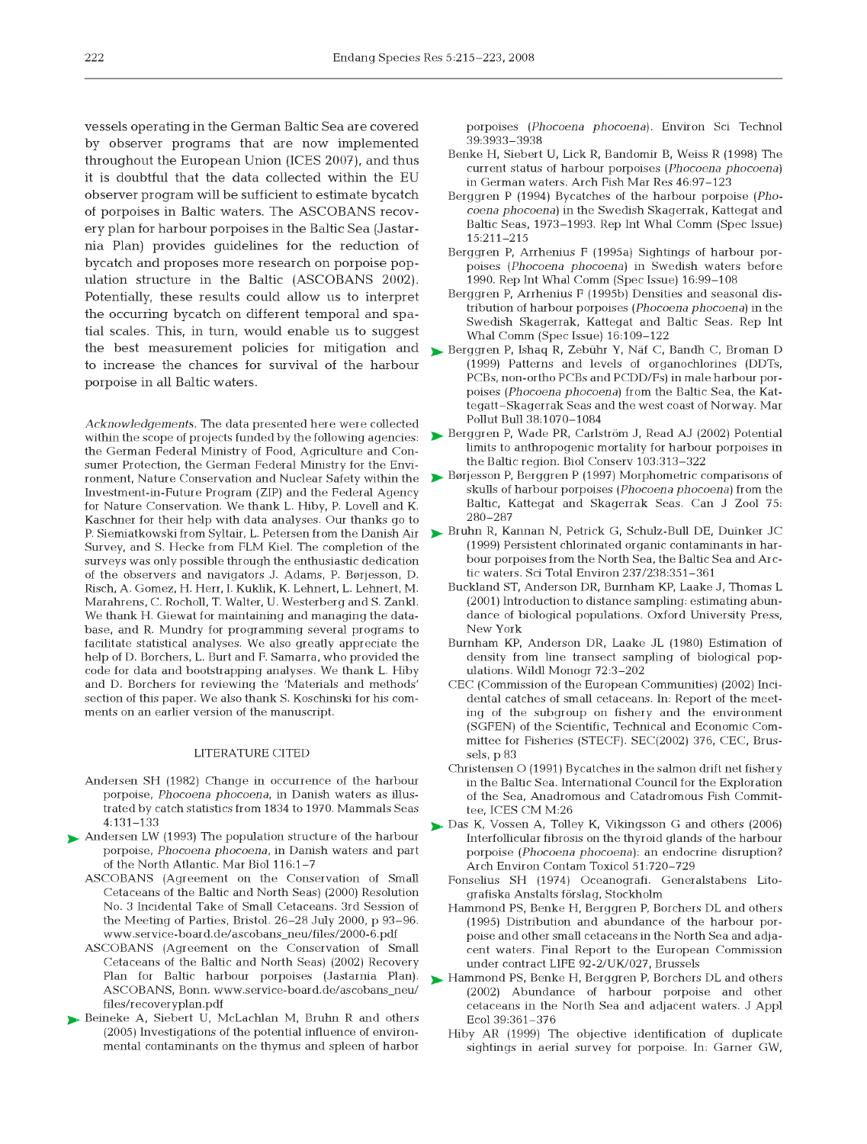vessels operating in the German Baltic Sea are covered by observer programs that are now implemented throughout the European Union (ICES 2007), and thus it is doubtful that the data collected within the EU observer program will be sufficient to estim ate bycatch of porpoises in Baltic waters. The ASCOBANS recovery plan for harbour porpoises in the Baltic Sea (Jastarnia Plan) provides guidelines for the reduction of bycatch and proposes more research on porpoise population structure in the Baltic (ASCOBANS 2002). Potentially, these results could allow us to interpret the occurring bycatch on different temporal and spatial scales. This, in turn, would enable us to suggest the best measurement policies for mitigation and to increase the chances for survival of the harbour porpoise in all Baltic waters.

*Acknowledgements.* The data presented here were collected within the scope of projects funded by the following agencies: the German Federal Ministry of Food, Agriculture and Consumer Protection, the German Federal Ministry for the Environment. Nature Conservation and Nuclear Safety within the Investment-in-Future Program (ZIP) and the Federal Agency for Nature Conservation. We thank L. Hiby, P. Lovell and K. Kaschner for their help with data analyses. Our thanks go to P. Siemiatkowski from Syltair, L. Petersen from the Danish Air Survey, and S. Hecke from FLM Kiel. The completion of the surveys was only possible through the enthusiastic dedication of the observers and navigators J. Adams, P. Børjesson, D. Risch, A. Gomez, H. Herr, I. Kuklik, K. Lehnert, L. Lehnert, M. Marahrens, C. Rocholl, T. Walter, U. Westerberg and S. Zankl. We thank H. Giewat for maintaining and managing the database, and R. Mundry for programming several programs to facilitate statistical analyses. We also greatly appreciate the help of D. Borchers, L. Burt and F. Samarra, who provided the code for data and bootstrapping analyses. We thank L. Hiby and D. Borchers for reviewing the 'Materials and methods' section of this paper. We also thank S. Koschinski for his comments on an earlier version of the manuscript.

#### LITERATURE CITED

- Andersen SH (1982) Change in occurrence of the harbour porpoise, *Phocoena phocoena*, in Danish waters as illustrated by catch statistics from 1834 to 1970. Mammals Seas 4:131-133
- Andersen LW (1993) The population structure of the harbour porpoise, *Phocoena phocoena*, in Danish waters and part of the North Atlantic. Mar Biol 116:1-7
	- ASCOBANS (Agreement on the Conservation of Small Cetaceans of the Baltic and North Seas) (2000) Resolution No. 3 Incidental Take of Small Cetaceans. 3rd Session of the Meeting of Parties, Bristol. 26-28 July 2000, p 93-96. www.service-board.de/ascobans\_neu/files/2000-6.pdf
- ASCOBANS (Agreement on the Conservation of Small Cetaceans of the Baltic and North Seas) (2002) Recovery Plan for Baltic harbour porpoises (Jastarnia Plan). ASCOBANS, Bonn, www.service-board.de/ascobans\_neu/ files/recoveryplan.pdf
- Beineke A, Siebert U, McLachlan M, Bruhn R and others  $(2005)$  Investigations of the potential influence of environmental contaminants on the thymus and spleen of harbor

porpoises (*Phocoena phocoena*). Environ Sci Technol 39:3933-3938

- Benke H, Siebert U, Lick R, Bandomir B, Weiss R (1998) The current status of harbour porpoises (*Phocoena phocoena*) in German waters. Arch Fish Mar Res 46:97-123
- Berggren P (1994) Bycatches of the harbour porpoise (*Phocoena phocoena*) in the Swedish Skagerrak, Kattegat and Baltic Seas, 1973–1993. Rep Int Whal Comm (Spec Issue) 15:211-215
- Berggren P, Arrhenius F (1995a) Sightings of harbour porpoises (*Phocoena phocoena*) in Swedish waters before 1990. Rep Int Whal Comm (Spec Issue)  $16:99-108$
- Berggren P, Arrhenius F (1995b) Densities and seasonal distribution of harbour porpoises (*Phocoena phocoena*) in the Swedish Skagerrak, Kattegat and Baltic Seas. Rep Int Whal Comm (Spec Issue) 16:109-122
- Berggren P, Ishaq R, Zebühr Y, Näf C, Bandh C, Broman D (1999) Patterns and levels of organochlorines (DDTs, PCBs, non-ortho PCBs and PCDD/Fs) in male harbour porpoises (Phocoena phocoena) from the Baltic Sea, the Kattegatt-Skagerrak Seas and the west coast of Norway. Mar Pollut Bull 38:1070-1084
- Berggren P, Wade PR, Carlström J, Read AJ (2002) Potential limits to anthropogenic mortality for harbour porpoises in the Baltic region. Biol Conserv 103:313-322
- Børjesson P, Berggren P (1997) Morphometric comparisons of skulls of harbour porpoises (*Phocoena phocoena*) from the Baltic, Kattegat and Skagerrak Seas. Can J Zool 75: 280-287
- Bruhn R, Kannan N, Petrick G, Schulz-Bull DE, Duinker JC (1999) Persistent chlorinated organic contaminants in harbour porpoises from the North Sea, the Baltic Sea and Arctic waters. Sci Total Environ 237/238:351-361
	- Buckland ST, Anderson DR, Burnham KP, Laake J, Thomas L (2001) Introduction to distance sampling: estimating abundance of biological populations. Oxford University Press, New York
	- Burnham KP, Anderson DR, Laake JL (1980) Estimation of density from line transect sampling of biological populations. Wildl Monogr 72:3-202
	- CEC (Commission of the European Communities) (2002) Incidental catches of small cetaceans. In: Report of the meeting of the subgroup on fishery and the environment (SGFEN) of the Scientific, Technical and Economic Committee for Fisheries (STECF). SEC(2002) 376, CEC, Brussels, p 83
	- Christensen O (1991) Bycatches in the salmon drift net fishery in the Baltic Sea. International Council for the Exploration of the Sea, Anadromous and Catadromous Fish Committee, ICES CM M:26
- Das K, Vossen A, Tolley K, Vikingsson G and others (2006) Interfollicular fibrosis on the thyroid glands of the harbour porpoise (*Phocoena phocoena*): an endocrine disruption? Arch Environ Contam Toxicol 51:720-729
	- Fonselius SH (1974) Oceanografi. Generalstabens Litografiska Anstalts förslag, Stockholm
	- Hammond PS, Benke H, Berggren P, Borchers DL and others (1995) Distribution and abundance of the harbour porpoise and other small cetaceans in the North Sea and adjacent waters. Final Report to the European Commission under contract LIFE 92-2/UK/027, Brussels
- Hammond PS, Benke H, Berggren P, Borchers DL and others (2002) Abundance of harbour porpoise and other cetaceans in the North Sea and adjacent waters. J Appl Ecol 39:361-376
	- Hiby AR (1999) The objective identification of duplicate sightings in aerial survey for porpoise. In: Garner GW,